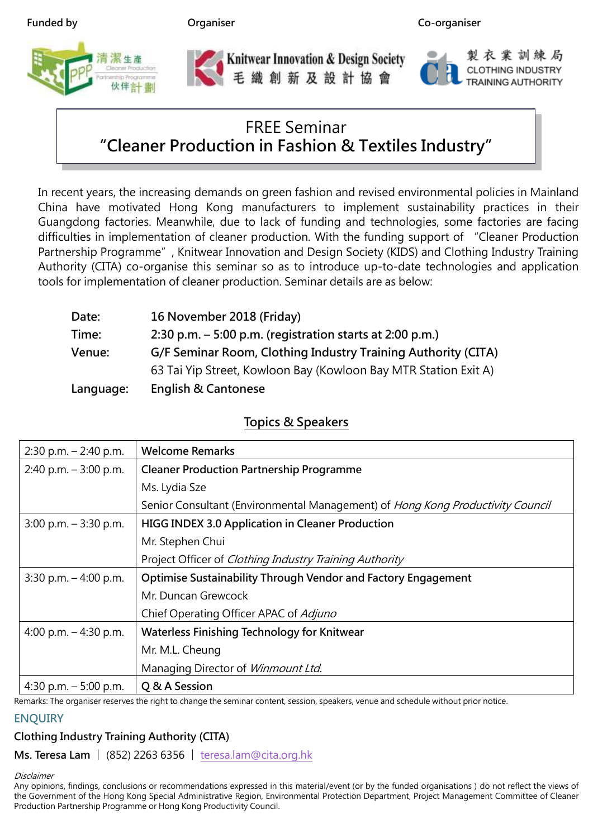



Knitwear Innovation & Design Society<br>毛織創新及設計協會

製衣業訓練局 **CLOTHING INDUSTRY** 

## FREE Seminar "Cleaner Production in Fashion & Textiles Industry"

In recent years, the increasing demands on green fashion and revised environmental policies in Mainland China have motivated Hong Kong manufacturers to implement sustainability practices in their Guangdong factories. Meanwhile, due to lack of funding and technologies, some factories are facing difficulties in implementation of cleaner production. With the funding support of "Cleaner Production Partnership Programme", Knitwear Innovation and Design Society (KIDS) and Clothing Industry Training Authority (CITA) co-organise this seminar so as to introduce up-to-date technologies and application tools for implementation of cleaner production. Seminar details are as below:

| Date:     | 16 November 2018 (Friday)                                       |
|-----------|-----------------------------------------------------------------|
| Time:     | 2:30 p.m. $-5:00$ p.m. (registration starts at 2:00 p.m.)       |
| Venue:    | G/F Seminar Room, Clothing Industry Training Authority (CITA)   |
|           | 63 Tai Yip Street, Kowloon Bay (Kowloon Bay MTR Station Exit A) |
| Language: | <b>English &amp; Cantonese</b>                                  |

### Topics & Speakers

| $2:30$ p.m. $- 2:40$ p.m. | <b>Welcome Remarks</b>                                                         |  |
|---------------------------|--------------------------------------------------------------------------------|--|
| 2:40 p.m. $-3:00$ p.m.    | <b>Cleaner Production Partnership Programme</b>                                |  |
|                           | Ms. Lydia Sze                                                                  |  |
|                           | Senior Consultant (Environmental Management) of Hong Kong Productivity Council |  |
| $3:00$ p.m. $-3:30$ p.m.  | <b>HIGG INDEX 3.0 Application in Cleaner Production</b>                        |  |
|                           | Mr. Stephen Chui                                                               |  |
|                           | Project Officer of <i>Clothing Industry Training Authority</i>                 |  |
| 3:30 p.m. $-4:00$ p.m.    | <b>Optimise Sustainability Through Vendor and Factory Engagement</b>           |  |
|                           | Mr. Duncan Grewcock                                                            |  |
|                           | Chief Operating Officer APAC of Adjuno                                         |  |
| 4:00 p.m. $-$ 4:30 p.m.   | Waterless Finishing Technology for Knitwear                                    |  |
|                           | Mr. M.L. Cheung                                                                |  |
|                           | Managing Director of Winmount Ltd.                                             |  |
| 4:30 p.m. $-5:00$ p.m.    | Q & A Session                                                                  |  |

Remarks: The organiser reserves the right to change the seminar content, session, speakers, venue and schedule without prior notice.

### **ENOUIRY**

### Clothing Industry Training Authority (CITA)

Ms. Teresa Lam | (852) 2263 6356 | teresa.lam@cita.org.hk

**Disclaimer** 

Any opinions, findings, conclusions or recommendations expressed in this material/event (or by the funded organisations ) do not reflect the views of the Government of the Hong Kong Special Administrative Region, Environmental Protection Department, Project Management Committee of Cleaner Production Partnership Programme or Hong Kong Productivity Council.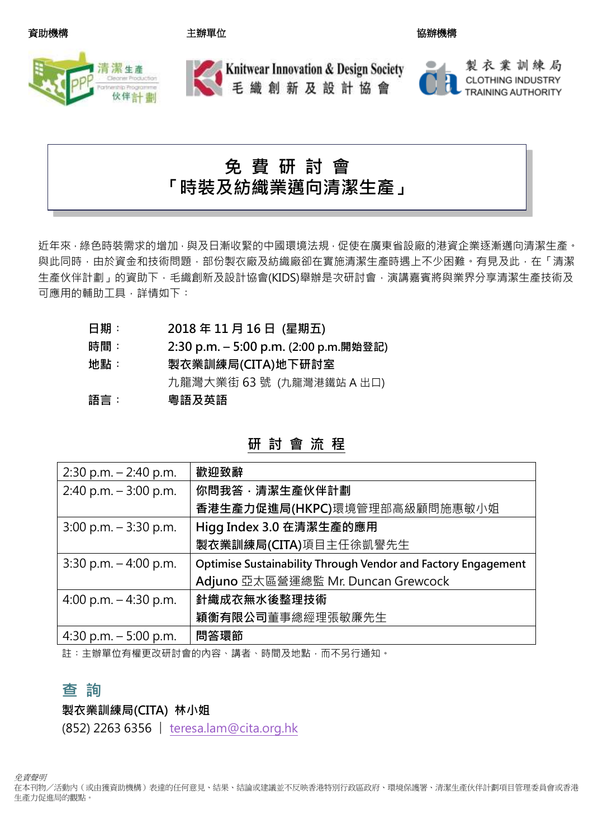#### 資助機構 さいきょう うちのう こうきょう 主辦單位 しょうしょう しょうしょう しゅうかい 協辦機構



## **Knitwear Innovation & Design Society** 毛織創新及設計協會

# 免 費 研 討 會 「時裝及紡織業邁向清潔生產」

近年來,綠色時裝需求的增加,與及日漸收緊的中國環境法規,促使在廣東省設廠的港資企業逐漸邁向清潔生產。 與此同時,由於資金和技術問題,部份製衣廠及紡織廠卻在實施清潔生產時遇上不少困難。有見及此,在「清潔 生產伙伴計劃」的資助下,毛織創新及設計協會(KIDS)舉辦是次研討會,演講嘉賓將與業界分享清潔生產技術及 可應用的輔助工具,詳情如下:

- 日期: 2018年11月16日 (星期五)
- 時間︰ 2:30 p.m. 5:00 p.m. (2:00 p.m.開始登記)
- 地點︰ 製衣業訓練局(CITA)地下研討室 九龍灣大業街 63 號 (九龍灣港鐵站 A 出口) 語言: 奥語及英語

| 研 | 討 | 會 | 流程 |  |
|---|---|---|----|--|
|---|---|---|----|--|

| $2:30$ p.m. $-2:40$ p.m. | 歡迎致辭                                                          |
|--------------------------|---------------------------------------------------------------|
| 2:40 p.m. $-3:00$ p.m.   | 你問我答・清潔生產伙伴計劃                                                 |
|                          | 香港生產力促進局(HKPC)環境管理部高級顧問施惠敏小姐                                  |
| $3:00$ p.m. $-3:30$ p.m. | Higg Index 3.0 在清潔生產的應用                                       |
|                          | 製衣業訓練局(CITA)項目主任徐凱譽先生                                         |
| 3:30 p.m. $-4:00$ p.m.   | Optimise Sustainability Through Vendor and Factory Engagement |
|                          | Adjuno 亞太區營運總監 Mr. Duncan Grewcock                            |
| 4:00 p.m. $-$ 4:30 p.m.  | 針織成衣無水後整理技術                                                   |
|                          | <b>穎衡有限公司</b> 董事總經理張敏廉先生                                      |
| 4:30 p.m. $-5:00$ p.m.   | 問答環節                                                          |

註︰主辦單位有權更改研討會的內容、講者、時間及地點,而不另行通知。

### 杳 詢

製衣業訓練局(CITA) 林小姐

(852) 2263 6356 | teresa.lam@cita.org.hk